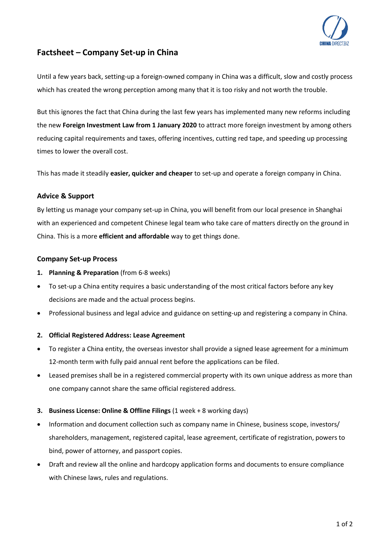

# **Factsheet – Company Set-up in China**

Until a few years back, setting-up a foreign-owned company in China was a difficult, slow and costly process which has created the wrong perception among many that it is too risky and not worth the trouble.

But this ignores the fact that China during the last few years has implemented many new reforms including the new **Foreign Investment Law from 1 January 2020** to attract more foreign investment by among others reducing capital requirements and taxes, offering incentives, cutting red tape, and speeding up processing times to lower the overall cost.

This has made it steadily **easier, quicker and cheaper** to set-up and operate a foreign company in China.

## **Advice & Support**

By letting us manage your company set-up in China, you will benefit from our local presence in Shanghai with an experienced and competent Chinese legal team who take care of matters directly on the ground in China. This is a more **efficient and affordable** way to get things done.

## **Company Set-up Process**

- **1. Planning & Preparation** (from 6-8 weeks)
- To set-up a China entity requires a basic understanding of the most critical factors before any key decisions are made and the actual process begins.
- Professional business and legal advice and guidance on setting-up and registering a company in China.

### **2. Official Registered Address: Lease Agreement**

- To register a China entity, the overseas investor shall provide a signed lease agreement for a minimum 12-month term with fully paid annual rent before the applications can be filed.
- Leased premises shall be in a registered commercial property with its own unique address as more than one company cannot share the same official registered address.

### **3. Business License: Online & Offline Filings** (1 week + 8 working days)

- Information and document collection such as company name in Chinese, business scope, investors/ shareholders, management, registered capital, lease agreement, certificate of registration, powers to bind, power of attorney, and passport copies.
- Draft and review all the online and hardcopy application forms and documents to ensure compliance with Chinese laws, rules and regulations.